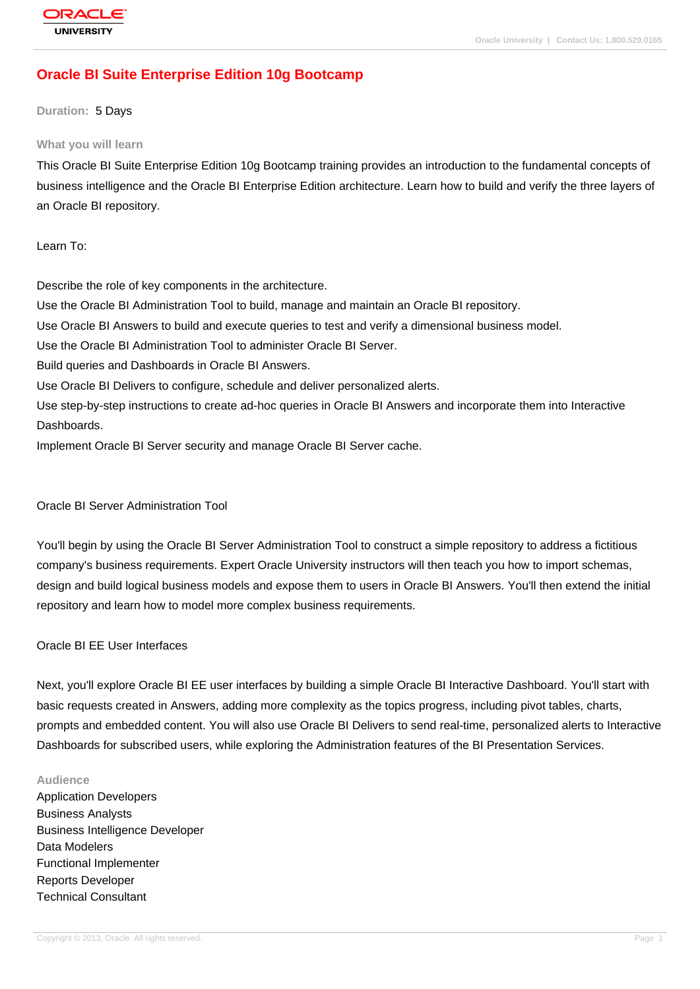# **[Oracle BI Suite](http://education.oracle.com/pls/web_prod-plq-dad/db_pages.getpage?page_id=3) Enterprise Edition 10g Bootcamp**

#### **Duration:** 5 Days

#### **What you will learn**

This Oracle BI Suite Enterprise Edition 10g Bootcamp training provides an introduction to the fundamental concepts of business intelligence and the Oracle BI Enterprise Edition architecture. Learn how to build and verify the three layers of an Oracle BI repository.

Learn To:

Describe the role of key components in the architecture. Use the Oracle BI Administration Tool to build, manage and maintain an Oracle BI repository. Use Oracle BI Answers to build and execute queries to test and verify a dimensional business model. Use the Oracle BI Administration Tool to administer Oracle BI Server. Build queries and Dashboards in Oracle BI Answers. Use Oracle BI Delivers to configure, schedule and deliver personalized alerts. Use step-by-step instructions to create ad-hoc queries in Oracle BI Answers and incorporate them into Interactive Dashboards. Implement Oracle BI Server security and manage Oracle BI Server cache.

### Oracle BI Server Administration Tool

You'll begin by using the Oracle BI Server Administration Tool to construct a simple repository to address a fictitious company's business requirements. Expert Oracle University instructors will then teach you how to import schemas, design and build logical business models and expose them to users in Oracle BI Answers. You'll then extend the initial repository and learn how to model more complex business requirements.

### Oracle BI EE User Interfaces

Next, you'll explore Oracle BI EE user interfaces by building a simple Oracle BI Interactive Dashboard. You'll start with basic requests created in Answers, adding more complexity as the topics progress, including pivot tables, charts, prompts and embedded content. You will also use Oracle BI Delivers to send real-time, personalized alerts to Interactive Dashboards for subscribed users, while exploring the Administration features of the BI Presentation Services.

#### **Audience**

Application Developers Business Analysts Business Intelligence Developer Data Modelers Functional Implementer Reports Developer Technical Consultant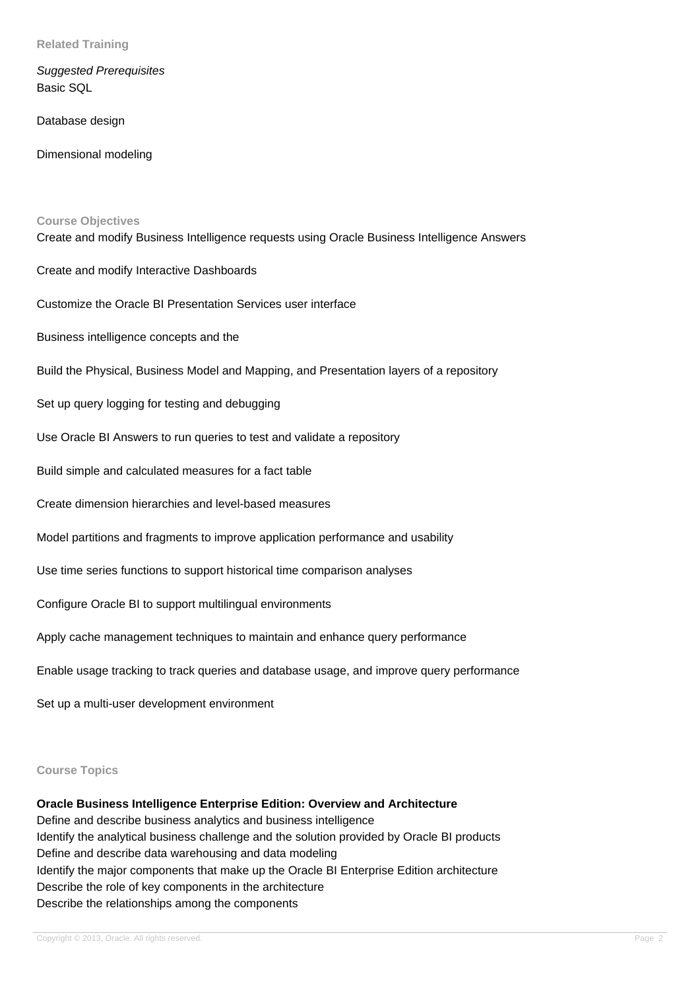**Related Training**

Suggested Prerequisites Basic SQL

Database design

Dimensional modeling

#### **Course Objectives**

Create and modify Business Intelligence requests using Oracle Business Intelligence Answers

Create and modify Interactive Dashboards

Customize the Oracle BI Presentation Services user interface

Business intelligence concepts and the

Build the Physical, Business Model and Mapping, and Presentation layers of a repository

Set up query logging for testing and debugging

Use Oracle BI Answers to run queries to test and validate a repository

Build simple and calculated measures for a fact table

Create dimension hierarchies and level-based measures

Model partitions and fragments to improve application performance and usability

Use time series functions to support historical time comparison analyses

Configure Oracle BI to support multilingual environments

Apply cache management techniques to maintain and enhance query performance

Enable usage tracking to track queries and database usage, and improve query performance

Set up a multi-user development environment

#### **Course Topics**

**Oracle Business Intelligence Enterprise Edition: Overview and Architecture** Define and describe business analytics and business intelligence Identify the analytical business challenge and the solution provided by Oracle BI products Define and describe data warehousing and data modeling Identify the major components that make up the Oracle BI Enterprise Edition architecture Describe the role of key components in the architecture Describe the relationships among the components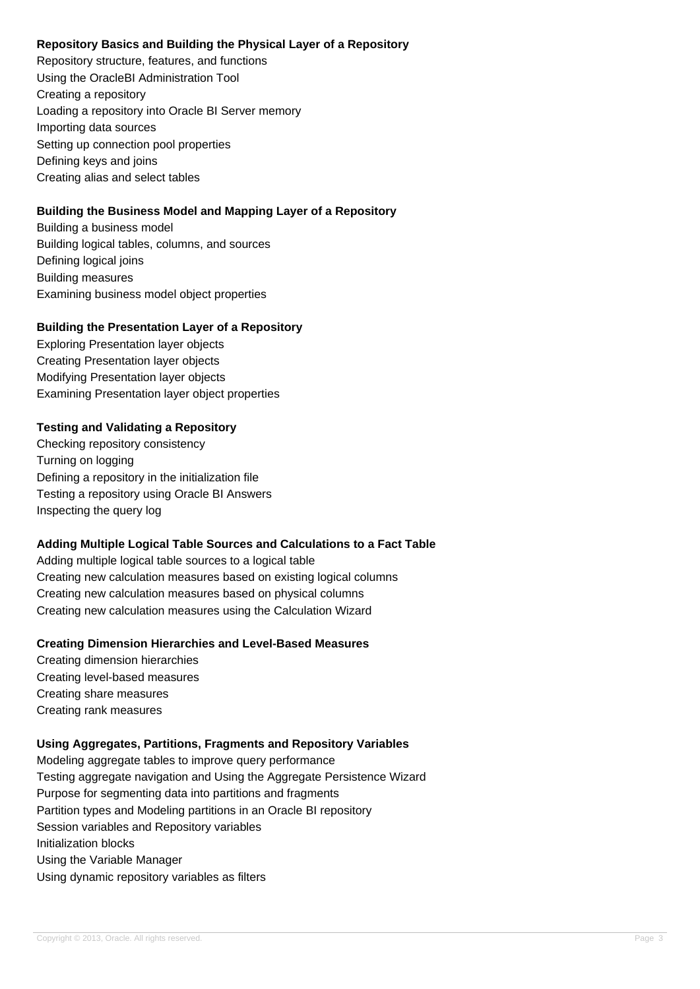# **Repository Basics and Building the Physical Layer of a Repository**

Repository structure, features, and functions Using the OracleBI Administration Tool Creating a repository Loading a repository into Oracle BI Server memory Importing data sources Setting up connection pool properties Defining keys and joins Creating alias and select tables

# **Building the Business Model and Mapping Layer of a Repository**

Building a business model Building logical tables, columns, and sources Defining logical joins Building measures Examining business model object properties

# **Building the Presentation Layer of a Repository**

Exploring Presentation layer objects Creating Presentation layer objects Modifying Presentation layer objects Examining Presentation layer object properties

# **Testing and Validating a Repository**

Checking repository consistency Turning on logging Defining a repository in the initialization file Testing a repository using Oracle BI Answers Inspecting the query log

# **Adding Multiple Logical Table Sources and Calculations to a Fact Table**

Adding multiple logical table sources to a logical table Creating new calculation measures based on existing logical columns Creating new calculation measures based on physical columns Creating new calculation measures using the Calculation Wizard

# **Creating Dimension Hierarchies and Level-Based Measures**

Creating dimension hierarchies Creating level-based measures Creating share measures Creating rank measures

# **Using Aggregates, Partitions, Fragments and Repository Variables**

Modeling aggregate tables to improve query performance Testing aggregate navigation and Using the Aggregate Persistence Wizard Purpose for segmenting data into partitions and fragments Partition types and Modeling partitions in an Oracle BI repository Session variables and Repository variables Initialization blocks Using the Variable Manager Using dynamic repository variables as filters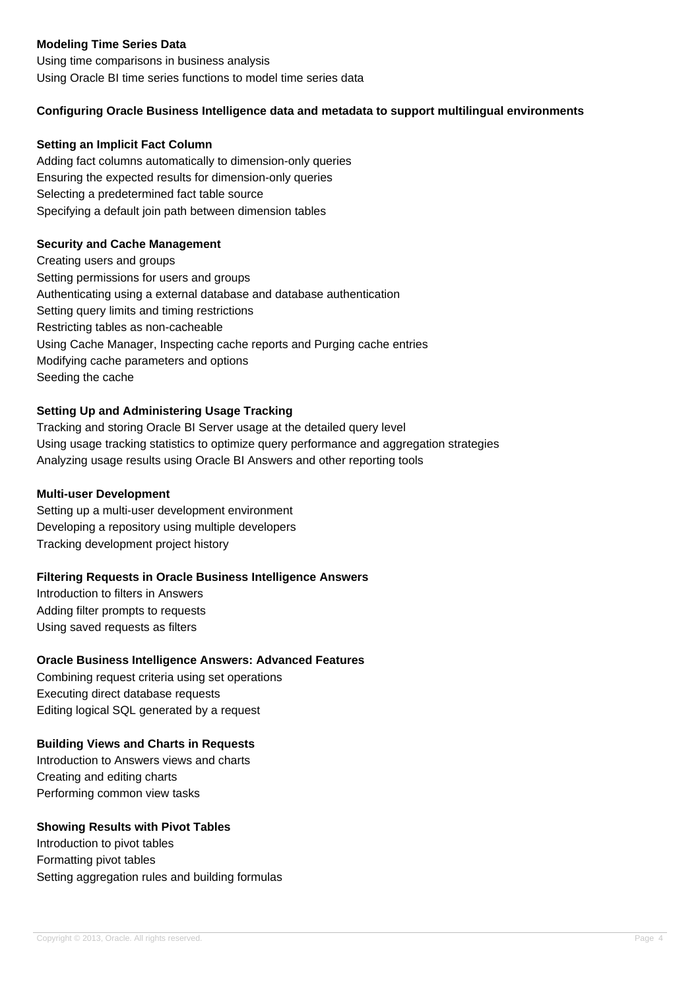# **Modeling Time Series Data**

Using time comparisons in business analysis Using Oracle BI time series functions to model time series data

## **Configuring Oracle Business Intelligence data and metadata to support multilingual environments**

### **Setting an Implicit Fact Column**

Adding fact columns automatically to dimension-only queries Ensuring the expected results for dimension-only queries Selecting a predetermined fact table source Specifying a default join path between dimension tables

## **Security and Cache Management**

Creating users and groups Setting permissions for users and groups Authenticating using a external database and database authentication Setting query limits and timing restrictions Restricting tables as non-cacheable Using Cache Manager, Inspecting cache reports and Purging cache entries Modifying cache parameters and options Seeding the cache

# **Setting Up and Administering Usage Tracking**

Tracking and storing Oracle BI Server usage at the detailed query level Using usage tracking statistics to optimize query performance and aggregation strategies Analyzing usage results using Oracle BI Answers and other reporting tools

### **Multi-user Development**

Setting up a multi-user development environment Developing a repository using multiple developers Tracking development project history

### **Filtering Requests in Oracle Business Intelligence Answers**

Introduction to filters in Answers Adding filter prompts to requests Using saved requests as filters

### **Oracle Business Intelligence Answers: Advanced Features**

Combining request criteria using set operations Executing direct database requests Editing logical SQL generated by a request

### **Building Views and Charts in Requests**

Introduction to Answers views and charts Creating and editing charts Performing common view tasks

## **Showing Results with Pivot Tables**

Introduction to pivot tables Formatting pivot tables Setting aggregation rules and building formulas